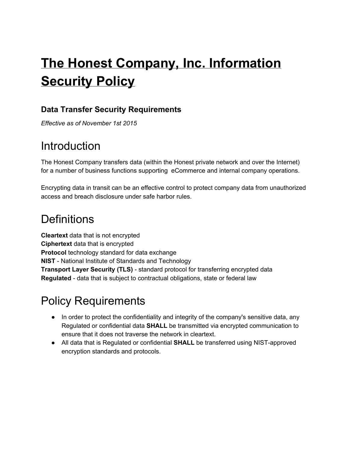# **The Honest Company, Inc. Information Security Policy**

#### **Data Transfer Security Requirements**

*Effective as of November 1st 2015*

### **Introduction**

The Honest Company transfers data (within the Honest private network and over the Internet) for a number of business functions supporting eCommerce and internal company operations.

Encrypting data in transit can be an effective control to protect company data from unauthorized access and breach disclosure under safe harbor rules.

### **Definitions**

**Cleartext** data that is not encrypted **Ciphertext** data that is encrypted **Protocol** technology standard for data exchange **NIST** - National Institute of Standards and Technology **Transport Layer Security (TLS)** - standard protocol for transferring encrypted data **Regulated** - data that is subject to contractual obligations, state or federal law

## Policy Requirements

- In order to protect the confidentiality and integrity of the company's sensitive data, any Regulated or confidential data **SHALL**be transmitted via encrypted communication to ensure that it does not traverse the network in cleartext.
- All data that is Regulated or confidential **SHALL** be transferred using NIST-approved encryption standards and protocols.